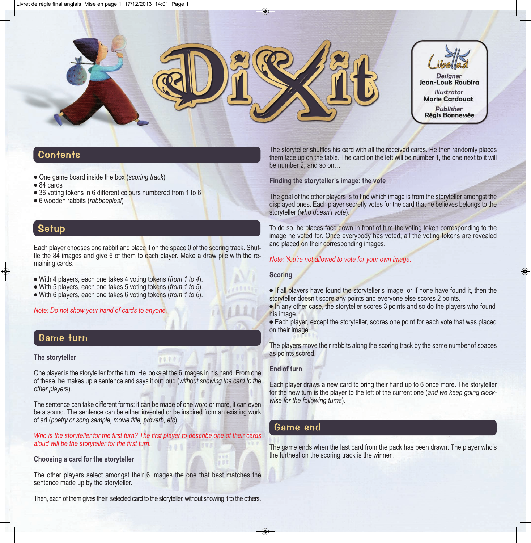

# **Contents**

- One game board inside the box (*scoring track*)
- 84 cards
- 36 voting tokens in 6 different colours numbered from 1 to 6
- 6 wooden rabbits (*rabbeeples!*)

### **Setup**

Each player chooses one rabbit and place it on the space 0 of the scoring track. Shuffle the 84 images and give 6 of them to each player. Make a draw pile with the remaining cards.

- With 4 players, each one takes 4 voting tokens (*from 1 to 4*).
- With 5 players, each one takes 5 voting tokens (*from 1 to 5*).
- With 6 players, each one takes 6 voting tokens (*from 1 to 6*).

*Note: Do not show your hand of cards to anyone.*

### Game turn

#### **The storyteller**

One player is the storyteller for the turn. He looks at the 6 images in his hand. From one of these, he makes up a sentence and says it out loud (*without showing the card to the other player*s).

 $0000$ 

The sentence can take different forms: it can be made of one word or more, it can even be a sound. The sentence can be either invented or be inspired from an existing work of art (*poetry or song sample, movie title, proverb, etc*).

*Who is the storyteller for the first turn? The first player to describe one of their cards aloud will be the storyteller for the first turn.*

#### **Choosing a card for the storyteller**

The other players select amongst their 6 images the one that best matches the sentence made up by the storyteller.

Then, each of them gives their selected card to the storyteller, without showing it to the others.

The storyteller shuffles his card with all the received cards. He then randomly places them face up on the table. The card on the left will be number 1, the one next to it will be number 2, and so on…

**Finding the storyteller's image: the vote**

The goal of the other players is to find which image is from the storyteller amongst the displayed ones. Each player secretly votes for the card that he believes belongs to the storyteller (*who doesn't vote*).

To do so, he places face down in front of him the voting token corresponding to the image he voted for. Once everybody has voted, all the voting tokens are revealed and placed on their corresponding images.

*Note: You're not allowed to vote for your own image.*

#### **Scoring**

- If all players have found the storyteller's image, or if none have found it, then the storyteller doesn't score any points and everyone else scores 2 points.
- In any other case, the storyteller scores 3 points and so do the players who found his image.
- Each player, except the storyteller, scores one point for each vote that was placed on their image.

The players move their rabbits along the scoring track by the same number of spaces as points scored.

#### **End of turn**

Each player draws a new card to bring their hand up to 6 once more. The storyteller for the new turn is the player to the left of the current one (*and we keep going clockwise for the following turns*).

### Game end

The game ends when the last card from the pack has been drawn. The player who's the furthest on the scoring track is the winner..